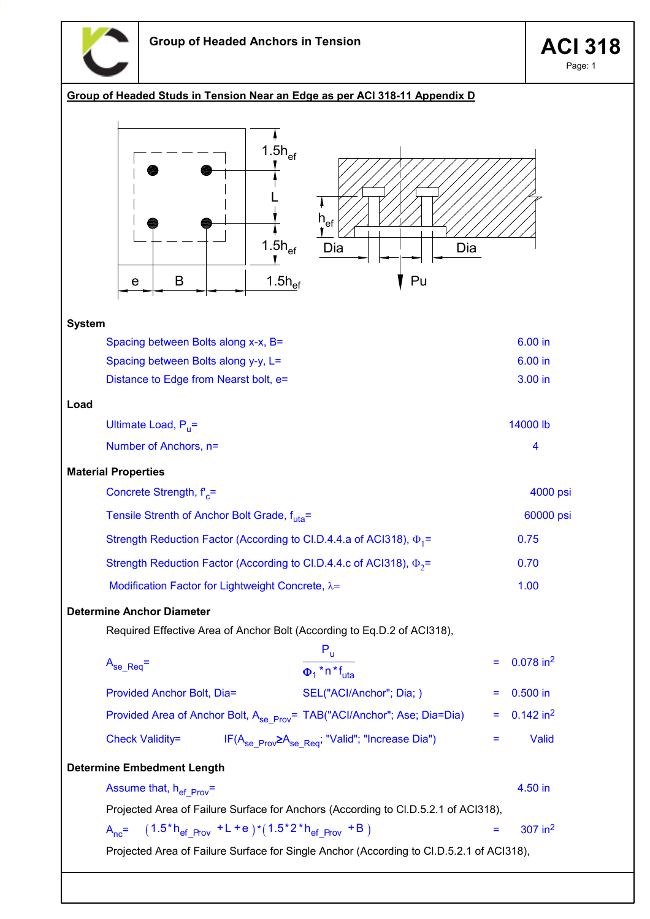

Page: 1

## Group of Headed Studs in Tension Near an Edge as per ACI 318-11 Appendix D

| $1.5h_{\text{ef}}$<br>$\mathsf{h}_{\mathsf{ef}}$<br>$1.5h_{\text{ef}}$<br>Dia<br>Dia<br>1.5 $h_{\text{ef}}$<br>Pu<br>B<br>e |                         |  |  |  |  |  |  |
|-----------------------------------------------------------------------------------------------------------------------------|-------------------------|--|--|--|--|--|--|
| <b>System</b>                                                                                                               |                         |  |  |  |  |  |  |
| Spacing between Bolts along x-x, B=                                                                                         | 6.00 in                 |  |  |  |  |  |  |
| Spacing between Bolts along y-y, L=                                                                                         | 6.00 in                 |  |  |  |  |  |  |
| Distance to Edge from Nearst bolt, e=                                                                                       | 3.00 in                 |  |  |  |  |  |  |
| Load                                                                                                                        |                         |  |  |  |  |  |  |
| Ultimate Load, $P_{\rm u}$ =                                                                                                | 14000 lb                |  |  |  |  |  |  |
| Number of Anchors, n=                                                                                                       | $\overline{\mathbf{4}}$ |  |  |  |  |  |  |
| <b>Material Properties</b>                                                                                                  |                         |  |  |  |  |  |  |
| Concrete Strength, f' <sub>c</sub> =                                                                                        | 4000 psi                |  |  |  |  |  |  |
| Tensile Strenth of Anchor Bolt Grade, f <sub>uta</sub> =                                                                    | 60000 psi               |  |  |  |  |  |  |
| Strength Reduction Factor (According to Cl.D.4.4.a of ACI318), $\Phi_1$ =                                                   | 0.75                    |  |  |  |  |  |  |
| Strength Reduction Factor (According to Cl.D.4.4.c of ACI318), $\Phi_2$ =                                                   | 0.70                    |  |  |  |  |  |  |
| Modification Factor for Lightweight Concrete, λ=                                                                            | 1.00                    |  |  |  |  |  |  |
| <b>Determine Anchor Diameter</b>                                                                                            |                         |  |  |  |  |  |  |
| Required Effective Area of Anchor Bolt (According to Eq.D.2 of ACI318),                                                     |                         |  |  |  |  |  |  |
| $P_{u}$                                                                                                                     |                         |  |  |  |  |  |  |
| $=$<br>$A_{se\_Req} =$<br>$\overline{\Phi_1$ * n * f <sub>uta</sub>                                                         | $0.078$ in <sup>2</sup> |  |  |  |  |  |  |
| Provided Anchor Bolt, Dia=<br>SEL("ACI/Anchor"; Dia; )                                                                      | $0.500$ in              |  |  |  |  |  |  |
| Provided Area of Anchor Bolt, A <sub>se_Prov</sub> = TAB("ACI/Anchor"; Ase; Dia=Dia)<br>Ξ                                   | $0.142$ in <sup>2</sup> |  |  |  |  |  |  |
| IF(A <sub>se Prov</sub> >A <sub>se Req</sub> ; "Valid"; "Increase Dia")<br><b>Check Validity=</b><br>Ξ                      | Valid                   |  |  |  |  |  |  |
| <b>Determine Embedment Length</b>                                                                                           |                         |  |  |  |  |  |  |
| Assume that, $h_{ef-prov}$ =                                                                                                | 4.50 in                 |  |  |  |  |  |  |
| Projected Area of Failure Surface for Anchors (According to Cl.D.5.2.1 of ACI318),                                          |                         |  |  |  |  |  |  |
| $A_{nc} = (1.5 * h_{ef Prou} + L + e) * (1.5 * 2 * h_{ef Prou} + B)$<br>Ξ                                                   | $307$ in <sup>2</sup>   |  |  |  |  |  |  |
| Projected Area of Failure Surface for Single Anchor (According to Cl.D.5.2.1 of ACI318),                                    |                         |  |  |  |  |  |  |
|                                                                                                                             |                         |  |  |  |  |  |  |